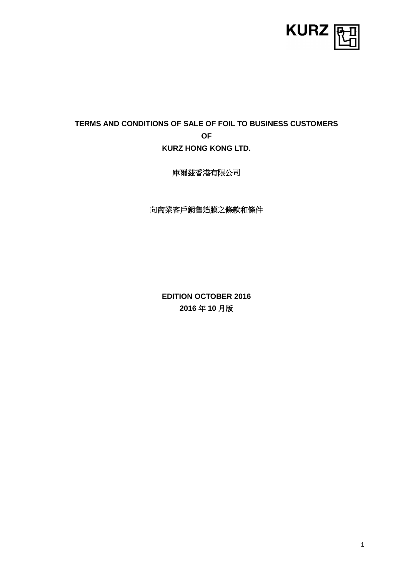

# **TERMS AND CONDITIONS OF SALE OF FOIL TO BUSINESS CUSTOMERS OF KURZ HONG KONG LTD.**

庫爾茲香港有限公司

向商業客戶銷售箔膜之條款和條件

**EDITION OCTOBER 2016 2016** 年 **10** 月版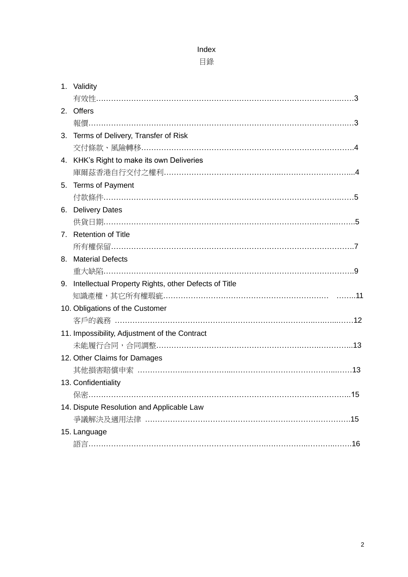### Index

# 目錄

| 1. Validity                                             |
|---------------------------------------------------------|
|                                                         |
| 2. Offers                                               |
|                                                         |
| 3. Terms of Delivery, Transfer of Risk                  |
|                                                         |
| 4. KHK's Right to make its own Deliveries               |
|                                                         |
| 5. Terms of Payment                                     |
|                                                         |
| 6. Delivery Dates                                       |
|                                                         |
| 7. Retention of Title                                   |
|                                                         |
| 8. Material Defects                                     |
|                                                         |
| 9. Intellectual Property Rights, other Defects of Title |
|                                                         |
| 10. Obligations of the Customer                         |
|                                                         |
| 11. Impossibility, Adjustment of the Contract           |
|                                                         |
| 12. Other Claims for Damages                            |
|                                                         |
| 13. Confidentiality                                     |
|                                                         |
| 14. Dispute Resolution and Applicable Law               |
|                                                         |
| 15. Language                                            |
|                                                         |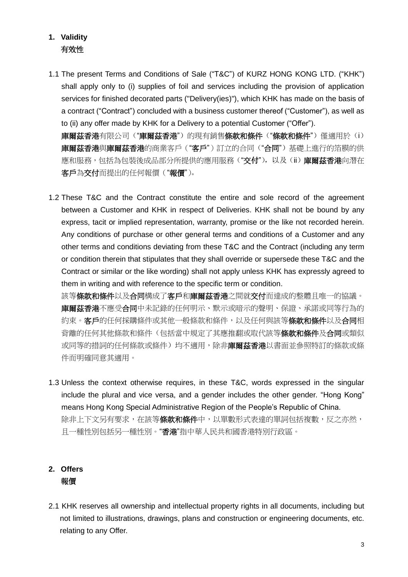# **1. Validity** 有效性

1.1 The present Terms and Conditions of Sale ("T&C") of KURZ HONG KONG LTD. ("KHK") shall apply only to (i) supplies of foil and services including the provision of application services for finished decorated parts ("Delivery(ies)"), which KHK has made on the basis of a contract ("Contract") concluded with a business customer thereof ("Customer"), as well as to (ii) any offer made by KHK for a Delivery to a potential Customer ("Offer"). 庫爾茲香港有限公司("庫爾茲香港")的現有銷售條款和條件("條款和條件")僅適用於(i)

庫爾茲香港與庫爾茲香港的商業客戶("客戶")訂立的合同("合同")基礎上進行的箔膜的供 應和服務,包括為包裝後成品部分所提供的應用服務("交付"), 以及(ii) 庫爾茲香港向潛在 客戶為交付而提出的任何報價("報價")。

1.2 These T&C and the Contract constitute the entire and sole record of the agreement between a Customer and KHK in respect of Deliveries. KHK shall not be bound by any express, tacit or implied representation, warranty, promise or the like not recorded herein. Any conditions of purchase or other general terms and conditions of a Customer and any other terms and conditions deviating from these T&C and the Contract (including any term or condition therein that stipulates that they shall override or supersede these T&C and the Contract or similar or the like wording) shall not apply unless KHK has expressly agreed to them in writing and with reference to the specific term or condition.

該等條款和條件以及合同構成了客戶和庫爾茲香港之間就交付而達成的整體且唯一的協議。 車爾茲香港不應受合同中未記錄的任何明示、默示或暗示的聲明、保證、承諾或同等行為的 約束。客戶的任何採購條件或其他一般條款和條件,以及任何與該等**條款和條件**以及**合同**相 背離的任何其他條款和條件(包括當中規定了其應推翻或取代該等條款和條件及合同或類似 或同等的措詞的任何條款或條件)均不適用,除非**庫爾茲香港**以書面並參照特訂的條款或條 件而明確同意其適用。

1.3 Unless the context otherwise requires, in these T&C, words expressed in the singular include the plural and vice versa, and a gender includes the other gender. "Hong Kong" means Hong Kong Special Administrative Region of the People's Republic of China. 除非上下文另有要求,在該等條款和條件中,以單數形式表達的單詞包括複數,反之亦然, 且一種性別包括另一種性別。"香港"指中華人民共和國香港特別行政區。

# **2. Offers** 報價

2.1 KHK reserves all ownership and intellectual property rights in all documents, including but not limited to illustrations, drawings, plans and construction or engineering documents, etc. relating to any Offer.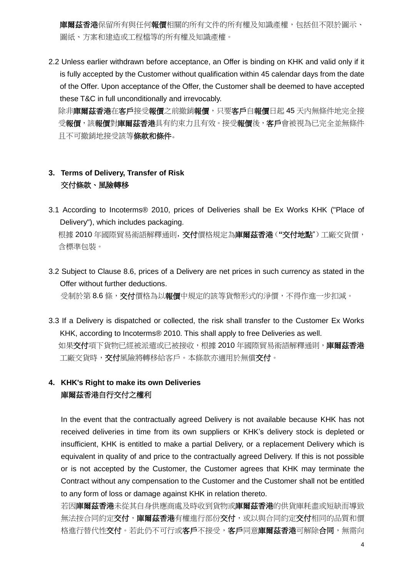**庫爾茲香港**保留所有與任何**報價**相關的所有文件的所有權及知識產權,包括但不限於圖示、 圖紙、方案和建造或工程檔等的所有權及知識產權。

2.2 Unless earlier withdrawn before acceptance, an Offer is binding on KHK and valid only if it is fully accepted by the Customer without qualification within 45 calendar days from the date of the Offer. Upon acceptance of the Offer, the Customer shall be deemed to have accepted these T&C in full unconditionally and irrevocably.

除非庫爾茲香港在客戶接受報價之前撤銷報價,只要客戶自報價日起 45 天內無條件地完全接 受報價,該報價對庫爾茲香港具有約束力且有效。接受報價後,客戶會被視為已完全並無條件 且不可撤銷地接受該等條款和條件。

# **3. Terms of Delivery, Transfer of Risk** 交付條款、風險轉移

- 3.1 According to Incoterms® 2010, prices of Deliveries shall be Ex Works KHK ("Place of Delivery"), which includes packaging. 根據 2010 年國際貿易術語解釋通則,交付價格規定為庫爾茲香港(**"**交付地點")工廠交貨價, 含標準包裝。
- 3.2 Subject to Clause 8.6, prices of a Delivery are net prices in such currency as stated in the Offer without further deductions. 受制於第 8.6 條, 交付價格為以報價中規定的該等貨幣形式的淨價, 不得作進一步扣減。
- 3.3 If a Delivery is dispatched or collected, the risk shall transfer to the Customer Ex Works KHK, according to Incoterms® 2010. This shall apply to free Deliveries as well. 如果交付項下貨物已經被派遣或已被接收,根據 2010 年國際貿易術語解釋通則,庫爾茲香港 工廠交貨時,交付風險將轉移給客戶。本條款亦適用於無償交付。

# **4. KHK's Right to make its own Deliveries** 庫爾茲香港自行交付之權利

In the event that the contractually agreed Delivery is not available because KHK has not received deliveries in time from its own suppliers or KHK's delivery stock is depleted or insufficient, KHK is entitled to make a partial Delivery, or a replacement Delivery which is equivalent in quality of and price to the contractually agreed Delivery. If this is not possible or is not accepted by the Customer, the Customer agrees that KHK may terminate the Contract without any compensation to the Customer and the Customer shall not be entitled to any form of loss or damage against KHK in relation thereto.

若因庫爾茲香港未從其自身供應商處及時收到貨物或庫爾茲香港的供貨庫耗盡或短缺而導致 無法按合同約定交付,庫爾茲香港有權進行部份交付,或以與合同約定交付相同的品質和價 格進行替代性交付。若此仍不可行或客戶不接受,客戶同意庫爾茲香港可解除合同,無需向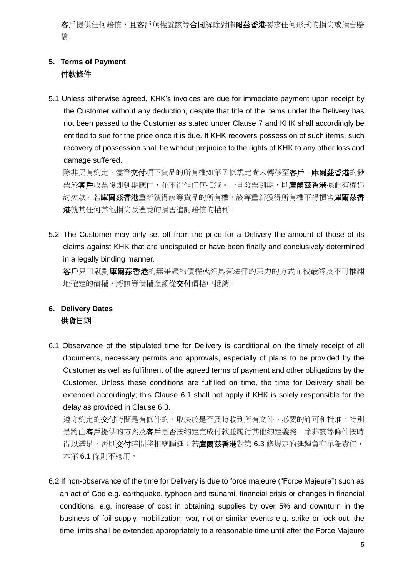客戶提供任何賠償,且客戶無權就該等合同解除對庫爾茲香港要求任何形式的損失或損害賠 償。

### **5. Terms of Payment** 付款條件

5.1 Unless otherwise agreed, KHK's invoices are due for immediate payment upon receipt by the Customer without any deduction, despite that title of the items under the Delivery has not been passed to the Customer as stated under Clause 7 and KHK shall accordingly be entitled to sue for the price once it is due. If KHK recovers possession of such items, such recovery of possession shall be without prejudice to the rights of KHK to any other loss and damage suffered.

除非另有約定,儘管交付項下貨品的所有權如第7條規定尚未轉移至客戶,庫爾茲香港的發 票於客戶收票後即到期應付,並不得作任何扣減。一旦發票到期,則**庫爾茲香港**據此有權追 討欠款。若**庫爾茲香港**重新獲得該等貨品的所有權,該等重新獲得所有權不得損害**庫爾茲香** 港就其任何其他損失及遭受的損害追討賠償的權利。

5.2 The Customer may only set off from the price for a Delivery the amount of those of its claims against KHK that are undisputed or have been finally and conclusively determined in a legally binding manner.

客戶只可就對庫爾茲香港的無爭議的債權或經具有法律約束力的方式而被最終及不可推翻 地確定的債權,將該等債權金額從交付價格中抵銷。

### **6. Delivery Dates** 供貨日期

6.1 Observance of the stipulated time for Delivery is conditional on the timely receipt of all documents, necessary permits and approvals, especially of plans to be provided by the Customer as well as fulfilment of the agreed terms of payment and other obligations by the Customer. Unless these conditions are fulfilled on time, the time for Delivery shall be extended accordingly; this Clause 6.1 shall not apply if KHK is solely responsible for the delay as provided in Clause 6.3.

遵守約定的**交付**時間是有條件的,取決於是否及時收到所有文件、必要的許可和批准,特別 是將由客戶提供的方案及客戶是否按約定完成付款並履行其他約定義務。除非該等條件按時 得以滿足,否則交付時間將相應順延;若庫爾茲香港對第6.3條規定的延遲負有單獨責任, 本第 6.1 條則不適用。

6.2 If non-observance of the time for Delivery is due to force majeure ("Force Majeure") such as an act of God e.g. earthquake, typhoon and tsunami, financial crisis or changes in financial conditions, e.g. increase of cost in obtaining supplies by over 5% and downturn in the business of foil supply, mobilization, war, riot or similar events e.g. strike or lock-out, the time limits shall be extended appropriately to a reasonable time until after the Force Majeure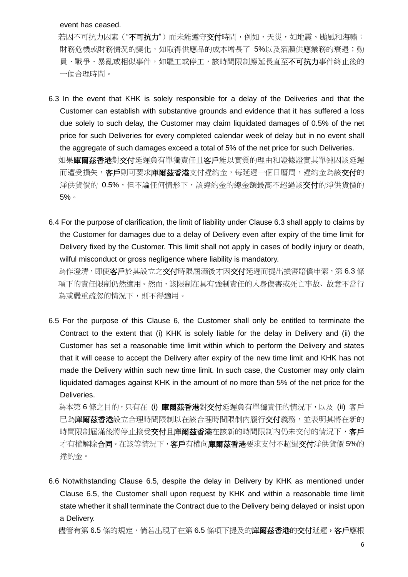#### event has ceased.

若因不可抗力因素("**不可抗力**")而未能遵守**交付**時間,例如,天災,如地震、颱風和海嘯; 財務危機或財務情況的變化,如取得供應品的成本增長了 5%以及箔膜供應業務的衰退;動 具、戰爭、暴亂或相似事件,如罷工或停工,該時間限制應延長直至不可抗力事件終止後的 一個合理時間。

- 6.3 In the event that KHK is solely responsible for a delay of the Deliveries and that the Customer can establish with substantive grounds and evidence that it has suffered a loss due solely to such delay, the Customer may claim liquidated damages of 0.5% of the net price for such Deliveries for every completed calendar week of delay but in no event shall the aggregate of such damages exceed a total of 5% of the net price for such Deliveries. 如果庫爾茲香港對交付延遲負有單獨責任且客戶能以實質的理由和證據證實其單純因該延遲 而遭受損失,客戶則可要求庫爾茲香港支付違約金,每延遲一個日曆周,違約金為該交付的 淨供貨價的 0.5%,但不論任何情形下,該違約金的總金額最高不超過該交付的淨供貨價的 5%。
- 6.4 For the purpose of clarification, the limit of liability under Clause 6.3 shall apply to claims by the Customer for damages due to a delay of Delivery even after expiry of the time limit for Delivery fixed by the Customer. This limit shall not apply in cases of bodily injury or death, wilful misconduct or gross negligence where liability is mandatory. 為作澄清,即使客戶於其設立之交付時限屆滿後才因交付延遲而提出損害賠償申索,第 6.3 條

項下的責任限制仍然適用。然而,該限制在具有強制責任的人身傷害或死亡事故、故意不當行 為或嚴重疏忽的情況下,則不得適用。

6.5 For the purpose of this Clause 6, the Customer shall only be entitled to terminate the Contract to the extent that (i) KHK is solely liable for the delay in Delivery and (ii) the Customer has set a reasonable time limit within which to perform the Delivery and states that it will cease to accept the Delivery after expiry of the new time limit and KHK has not made the Delivery within such new time limit. In such case, the Customer may only claim liquidated damages against KHK in the amount of no more than 5% of the net price for the Deliveries.

為本第6條之目的,只有在 (i) 庫爾茲香港對交付延遲負有單獨責任的情況下,以及 (ii) 客戶 已為庫爾茲香港設立合理時間限制以在該合理時間限制內履行交付義務,並表明其將在新的 時間限制屆滿後將停止接受交付且庫爾茲香港在該新的時間限制內仍未交付的情況下,客戶 才有權解除合同。在該等情況下,客戶有權向庫爾茲香港要求支付不超過交付淨供貨價 5%的 違約金。

6.6 Notwithstanding Clause 6.5, despite the delay in Delivery by KHK as mentioned under Clause 6.5, the Customer shall upon request by KHK and within a reasonable time limit state whether it shall terminate the Contract due to the Delivery being delayed or insist upon a Delivery.

儘管有第 6.5 條的規定,倘若出現了在第 6.5 條項下提及的**庫爾茲香港**的交付延遲,客戶應根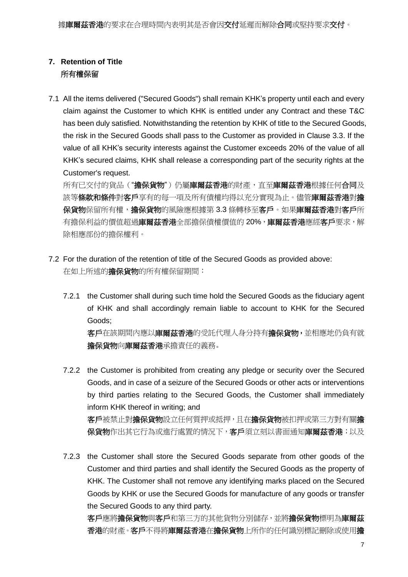### **7. Retention of Title** 所有權保留

7.1 All the items delivered ("Secured Goods") shall remain KHK's property until each and every claim against the Customer to which KHK is entitled under any Contract and these T&C has been duly satisfied. Notwithstanding the retention by KHK of title to the Secured Goods, the risk in the Secured Goods shall pass to the Customer as provided in Clause 3.3. If the value of all KHK's security interests against the Customer exceeds 20% of the value of all KHK's secured claims, KHK shall release a corresponding part of the security rights at the Customer's request.

所有已交付的貨品("擔保貨物")仍屬庫爾茲香港的財產,直至庫爾茲香港根據任何合同及 該等條款和條件對客戶享有的每一項及所有債權均得以充分實現為止。儘管庫爾茲香港對擔 保貨物保留所有權,擔保貨物的風險應根據第 3.3 條轉移至客戶。如果庫爾茲香港對客戶所 有擔保利益的價值超過**庫爾茲香港**全部擔保債權價值的20%,庫爾茲香港應經客戶要求,解 除相應部份的擔保權利。

- 7.2 For the duration of the retention of title of the Secured Goods as provided above: 在如上所述的擔保貨物的所有權保留期間:
	- 7.2.1 the Customer shall during such time hold the Secured Goods as the fiduciary agent of KHK and shall accordingly remain liable to account to KHK for the Secured Goods; 客戶在該期間內應以庫爾茲香港的受託代理人身分持有擔保貨物,並相應地仍負有就 擔保貨物向庫爾茲香港承擔責任的義務。
	- 7.2.2 the Customer is prohibited from creating any pledge or security over the Secured Goods, and in case of a seizure of the Secured Goods or other acts or interventions by third parties relating to the Secured Goods, the Customer shall immediately inform KHK thereof in writing; and 客戶被禁止對擔保貨物設立任何質押或抵押,且在擔保貨物被扣押或第三方對有關擔 保貨物作出其它行為或進行處置的情況下,客戶須立刻以書面通知庫爾茲香港;以及
	- 7.2.3 the Customer shall store the Secured Goods separate from other goods of the Customer and third parties and shall identify the Secured Goods as the property of KHK. The Customer shall not remove any identifying marks placed on the Secured Goods by KHK or use the Secured Goods for manufacture of any goods or transfer the Secured Goods to any third party.

客戶應將擔保貨物與客戶和第三方的其他貨物分別儲存,並將擔保貨物標明為庫爾茲 香港的財產。客戶不得將庫爾茲香港在擔保貨物上所作的任何識別標記刪除或使用擔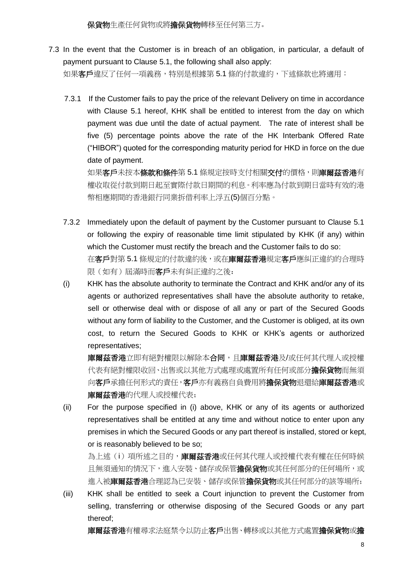7.3 In the event that the Customer is in breach of an obligation, in particular, a default of payment pursuant to Clause 5.1, the following shall also apply:

如果客戶違反了任何一項義務,特別是根據第 5.1 條的付款違約,下述條款也將適用:

7.3.1 If the Customer fails to pay the price of the relevant Delivery on time in accordance with Clause 5.1 hereof, KHK shall be entitled to interest from the day on which payment was due until the date of actual payment. The rate of interest shall be five (5) percentage points above the rate of the HK Interbank Offered Rate ("HIBOR") quoted for the corresponding maturity period for HKD in force on the due date of payment.

如果客戶未按本條款和條件第 5.1 條規定按時支付相關交付的價格,則庫爾茲香港有 權收取從付款到期日起至實際付款日期間的利息。利率應為付款到期日當時有效的港 幣相應期間的香港銀行同業拆借利率上浮五(5)個百分點。

- 7.3.2 Immediately upon the default of payment by the Customer pursuant to Clause 5.1 or following the expiry of reasonable time limit stipulated by KHK (if any) within which the Customer must rectify the breach and the Customer fails to do so: 在客戶對第 5.1 條規定的付款違約後,或在庫爾茲香港規定客戶應糾正違約的合理時 限(如有)屆滿時而客戶未有糾正違約之後:
- (i) KHK has the absolute authority to terminate the Contract and KHK and/or any of its agents or authorized representatives shall have the absolute authority to retake, sell or otherwise deal with or dispose of all any or part of the Secured Goods without any form of liability to the Customer, and the Customer is obliged, at its own cost, to return the Secured Goods to KHK or KHK's agents or authorized representatives;

庫爾茲香港立即有絕對權限以解除本合同,且庫爾茲香港及/或任何其代理人或授權 代表有絕對權限收回、出售或以其他方式處理或處置所有任何或部分擔保貨物而無須 向客戶承擔任何形式的責任,客戶亦有義務自負費用將擔保貨物退還給庫爾茲香港或 直爾茲香港的代理人或授權代表;

(ii) For the purpose specified in (i) above, KHK or any of its agents or authorized representatives shall be entitled at any time and without notice to enter upon any premises in which the Secured Goods or any part thereof is installed, stored or kept, or is reasonably believed to be so;

為上述(i)項所述之目的,庫爾茲香港或任何其代理人或授權代表有權在任何時候 且無須通知的情況下,進入安裝、儲存或保管擔保貨物或其任何部分的任何場所,或 進入被庫爾茲香港合理認為已安裝、儲存或保管擔保貨物或其任何部分的該等場所;

(iii) KHK shall be entitled to seek a Court injunction to prevent the Customer from selling, transferring or otherwise disposing of the Secured Goods or any part thereof;

庫爾茲香港有權尋求法庭禁令以防止客戶出售、轉移或以其他方式處置擔保貨物或擔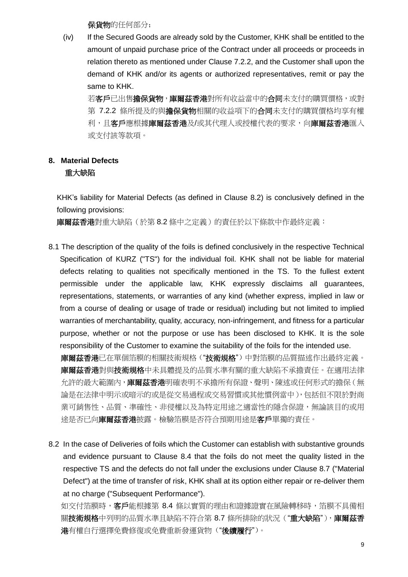保貨物的任何部分;

(iv) If the Secured Goods are already sold by the Customer, KHK shall be entitled to the amount of unpaid purchase price of the Contract under all proceeds or proceeds in relation thereto as mentioned under Clause 7.2.2, and the Customer shall upon the demand of KHK and/or its agents or authorized representatives, remit or pay the same to KHK.

若客戶已出售擔保貨物,庫爾茲香港對所有收益當中的合同未支付的購買價格,或對 第 7.2.2 條所提及的與擔保貨物相關的收益項下的合同未支付的購買價格均享有權 利,且客戶應根據庫爾茲香港及/或其代理人或授權代表的要求,向庫爾茲香港匯入 或支付該等款項。

#### **8. Material Defects** 重大缺陷

KHK's liability for Material Defects (as defined in Clause 8.2) is conclusively defined in the following provisions:

庫爾茲香港對重大缺陷(於第 8.2 條中之定義)的責任於以下條款中作最終定義:

- 8.1 The description of the quality of the foils is defined conclusively in the respective Technical Specification of KURZ ("TS") for the individual foil. KHK shall not be liable for material defects relating to qualities not specifically mentioned in the TS. To the fullest extent permissible under the applicable law, KHK expressly disclaims all guarantees, representations, statements, or warranties of any kind (whether express, implied in law or from a course of dealing or usage of trade or residual) including but not limited to implied warranties of merchantability, quality, accuracy, non-infringement, and fitness for a particular purpose, whether or not the purpose or use has been disclosed to KHK. It is the sole responsibility of the Customer to examine the suitability of the foils for the intended use. 庫爾茲香港已在單個箔膜的相關技術規格("技術規格")中對箔膜的品質描述作出最終定義。 庫爾茲香港對與技術規格中未具體提及的品質水準有關的重大缺陷不承擔責任。在適用法律 允許的最大範圍內,庫爾茲香港明確表明不承擔所有保證、聲明、陳述或任何形式的擔保(無 論是在法律中明示或暗示的或是從交易過程或交易習慣或其他慣例當中),包括但不限於對商
	- 業可銷售性、品質、準確性、非侵權以及為特定用途之適當性的隱含保證,無論該目的或用 途是否已向庫爾茲香港披露。檢驗箔膜是否符合預期用途是客戶單獨的責任。
- 8.2 In the case of Deliveries of foils which the Customer can establish with substantive grounds and evidence pursuant to Clause 8.4 that the foils do not meet the quality listed in the respective TS and the defects do not fall under the exclusions under Clause 8.7 ("Material Defect") at the time of transfer of risk, KHK shall at its option either repair or re-deliver them at no charge ("Subsequent Performance").

如交付箔膜時,客戶能根據第 8.4 條以實質的理由和證據證實在風險轉移時,箔膜不具備相 關技術規格中列明的品質水準且缺陷不符合第 8.7 條所排除的狀況("重大缺陷"), 庫爾茲香 港有權自行選擇免費修復或免費重新發運貨物("後續履行")。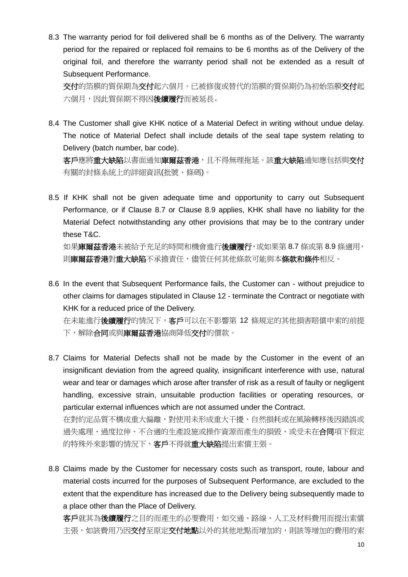8.3 The warranty period for foil delivered shall be 6 months as of the Delivery. The warranty period for the repaired or replaced foil remains to be 6 months as of the Delivery of the original foil, and therefore the warranty period shall not be extended as a result of Subsequent Performance.

交付的箔膜的質保期為交付起六個月。已被修復或替代的箔膜的質保期仍為初始箔膜交付起 方個月,因此質保期不得因後續履行而被延長。

8.4 The Customer shall give KHK notice of a Material Defect in writing without undue delay. The notice of Material Defect shall include details of the seal tape system relating to Delivery (batch number, bar code). 客戶應將重大缺陷以書面通知庫爾茲香港,且不得無理拖延。該重大缺陷通知應包括與交付

有關的封條系統上的詳細資訊(批號、條碼)。

8.5 If KHK shall not be given adequate time and opportunity to carry out Subsequent Performance, or if Clause 8.7 or Clause 8.9 applies, KHK shall have no liability for the Material Defect notwithstanding any other provisions that may be to the contrary under these T&C.

如果**庫爾茲香港**未被給予充足的時間和機會進行**後續履行,或**如果第 8.7 條或第 8.9 條適用, 則庫爾茲香港對重大缺陷不承擔責任,儘管任何其他條款可能與本條款和條件相反。

8.6 In the event that Subsequent Performance fails, the Customer can - without prejudice to other claims for damages stipulated in Clause 12 - terminate the Contract or negotiate with KHK for a reduced price of the Delivery.

在未能進行後續履行的情況下,客戶可以在不影響第 12 條規定的其他損害賠償申索的前提 下,解除合同或與庫爾茲香港協商降低交付的價款。

- 8.7 Claims for Material Defects shall not be made by the Customer in the event of an insignificant deviation from the agreed quality, insignificant interference with use, natural wear and tear or damages which arose after transfer of risk as a result of faulty or negligent handling, excessive strain, unsuitable production facilities or operating resources, or particular external influences which are not assumed under the Contract. 在對約定品質不構成重大偏離,對使用未形成重大干擾、自然損耗或在風險轉移後因錯誤或 過失處理、過度拉伸、不合適的生產設施或操作資源而產生的損毀、或受未在合同項下假定 的特殊外來影響的情況下, 客戶不得就重大缺陷提出索償主張。
- 8.8 Claims made by the Customer for necessary costs such as transport, route, labour and material costs incurred for the purposes of Subsequent Performance, are excluded to the extent that the expenditure has increased due to the Delivery being subsequently made to a place other than the Place of Delivery.

客戶就其為後續履行之目的而產生的必要費用,如交通、路線、人工及材料費用而提出索償 主張,如該費用乃因交付至原定交付地點以外的其他地點而增加的,則該等增加的費用的索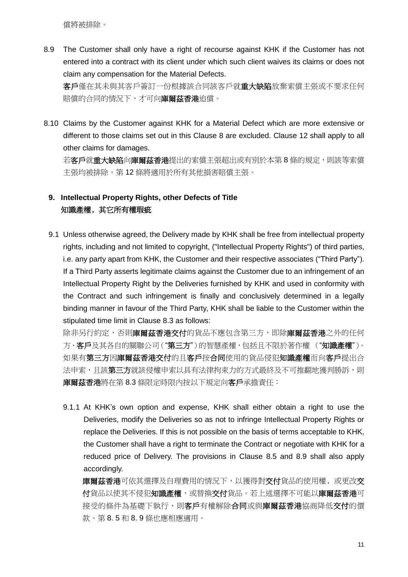償將被排除。

8.9 The Customer shall only have a right of recourse against KHK if the Customer has not entered into a contract with its client under which such client waives its claims or does not claim any compensation for the Material Defects. 客戶僅在其未與其客戶簽訂一份根據該合同該客戶就重大缺陷放棄索償主張或不要求任何

賠償的合同的情況下,才可向**庫爾茲香港**追償。

8.10 Claims by the Customer against KHK for a Material Defect which are more extensive or different to those claims set out in this Clause 8 are excluded. Clause 12 shall apply to all other claims for damages.

若客戶就重大缺陷向庫爾茲香港提出的索償主張超出或有別於本第8條的規定,則該等索償 主張均被排除。第 12 條將適用於所有其他損害賠償主張。

### **9. Intellectual Property Rights, other Defects of Title** 知識產權﹐其它所有權瑕疵

9.1 Unless otherwise agreed, the Delivery made by KHK shall be free from intellectual property rights, including and not limited to copyright, ("Intellectual Property Rights") of third parties, i.e. any party apart from KHK, the Customer and their respective associates ("Third Party"). If a Third Party asserts legitimate claims against the Customer due to an infringement of an Intellectual Property Right by the Deliveries furnished by KHK and used in conformity with the Contract and such infringement is finally and conclusively determined in a legally binding manner in favour of the Third Party, KHK shall be liable to the Customer within the stipulated time limit in Clause 8.3 as follows:

除非另行約定,否則庫爾茲香港交付的貨品不應包含第三方,即除庫爾茲香港之外的任何 方、客戶及其各自的關聯公司("第三方")的智慧產權,包括且不限於著作權 ("知識產權")。 如果有第三方因庫爾茲香港交付的且客戶按合同使用的貨品侵犯知識產權而向客戶提出合 法申索,且該第三方就該侵權申索以具有法律拘束力的方式最終及不可推翻地獲判勝訴,則 庫爾茲香港將在第 8.3 條限定時限內按以下規定向客戶承擔責任:

9.1.1 At KHK's own option and expense, KHK shall either obtain a right to use the Deliveries, modify the Deliveries so as not to infringe Intellectual Property Rights or replace the Deliveries. If this is not possible on the basis of terms acceptable to KHK, the Customer shall have a right to terminate the Contract or negotiate with KHK for a reduced price of Delivery. The provisions in Clause 8.5 and 8.9 shall also apply accordingly.

庫爾茲香港可依其選擇及自理費用的情況下, 以獲得對交付貨品的使用權, 或更改交 付貨品以使其不侵犯知識產權,或替換交付貨品。若上述選擇不可能以庫爾茲香港可 接受的條件為基礎下執行,則客戶有權解除合同或與庫爾茲香港協商降低交付的價 款。第 8. 5 和 8. 9 條也應相應適用。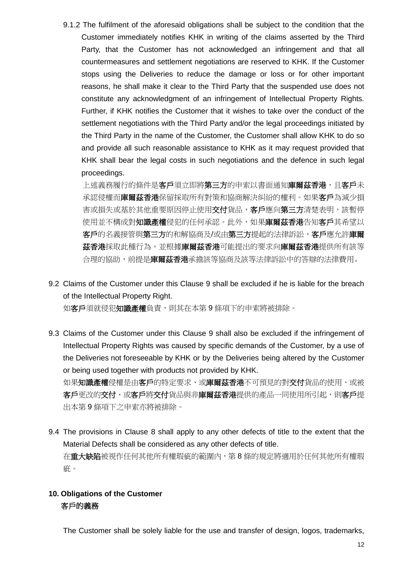9.1.2 The fulfilment of the aforesaid obligations shall be subject to the condition that the Customer immediately notifies KHK in writing of the claims asserted by the Third Party, that the Customer has not acknowledged an infringement and that all countermeasures and settlement negotiations are reserved to KHK. If the Customer stops using the Deliveries to reduce the damage or loss or for other important reasons, he shall make it clear to the Third Party that the suspended use does not constitute any acknowledgment of an infringement of Intellectual Property Rights. Further, if KHK notifies the Customer that it wishes to take over the conduct of the settlement negotiations with the Third Party and/or the legal proceedings initiated by the Third Party in the name of the Customer, the Customer shall allow KHK to do so and provide all such reasonable assistance to KHK as it may request provided that KHK shall bear the legal costs in such negotiations and the defence in such legal proceedings.

上述義務履行的條件是客戶須立即將第三方的申索以書面通知庫爾茲香港,且客戶未 承認侵權而**庫爾茲香港**保留採取所有對策和協商解決糾紛的權利。如果**客戶**為減少損 害或損失或基於其他重要原因停止使用交付貨品,客戶應向第三方清楚表明,該暫停 使用並不構成對知識產權侵犯的任何承認。此外,如果庫爾茲香港告知客戶其希望以 客戶的名義接管與第三方的和解協商及/或由第三方提起的法律訴訟,客戶應允許庫爾 茲香港採取此種行為,並根據庫爾茲香港可能提出的要求向庫爾茲香港提供所有該等 合理的協助, 前提是**庫爾茲香港**承擔該等協商及該等法律訴訟中的答辯的法律費用。

9.2 Claims of the Customer under this Clause 9 shall be excluded if he is liable for the breach of the Intellectual Property Right.

如客戶須就侵犯知識產權負責,則其在本第9條項下的申索將被排除。

- 9.3 Claims of the Customer under this Clause 9 shall also be excluded if the infringement of Intellectual Property Rights was caused by specific demands of the Customer, by a use of the Deliveries not foreseeable by KHK or by the Deliveries being altered by the Customer or being used together with products not provided by KHK. 如果知識產權侵權是由客戶的特定要求、或庫爾茲香港不可預見的對交付貨品的使用、或被 客戶更改的交付、或客戶將交付貨品與非庫爾茲香港提供的產品一同使用所引起,則客戶提 出本第 9 條項下之申索亦將被排除。
- 9.4 The provisions in Clause 8 shall apply to any other defects of title to the extent that the Material Defects shall be considered as any other defects of title. 在重大缺陷被視作任何其他所有權瑕疵的範圍內,第 8 條的規定將適用於任何其他所有權瑕 疵。

#### **10. Obligations of the Customer** 客戶的義務

The Customer shall be solely liable for the use and transfer of design, logos, trademarks,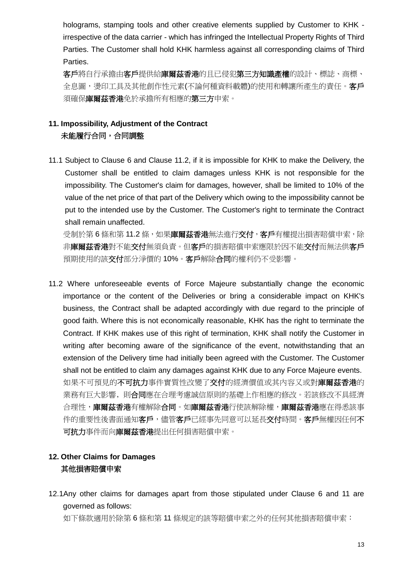holograms, stamping tools and other creative elements supplied by Customer to KHK irrespective of the data carrier - which has infringed the Intellectual Property Rights of Third Parties. The Customer shall hold KHK harmless against all corresponding claims of Third Parties.

多戶將自行承擔由客戶提供給庫爾茲香港的且已侵犯第三方知識產權的設計、標誌、商標、 全息圖,燙印工具及其他創作性元素(不論何種資料載體)的使用和轉讓所產生的責任。客戶 須確保庫爾茲香港免於承擔所有相應的第三方申索。

# **11. Impossibility, Adjustment of the Contract** 未能履行合同,合同調整

11.1 Subject to Clause 6 and Clause 11.2, if it is impossible for KHK to make the Delivery, the Customer shall be entitled to claim damages unless KHK is not responsible for the impossibility. The Customer's claim for damages, however, shall be limited to 10% of the value of the net price of that part of the Delivery which owing to the impossibility cannot be put to the intended use by the Customer. The Customer's right to terminate the Contract shall remain unaffected.

受制於第6條和第11.2條,如果庫爾茲香港無法進行交付,客戶有權提出損害賠償申索,除 非庫爾茲香港對不能交付無須負責。但客戶的損害賠償申索應限於因不能交付而無法供客戶 預期使用的該交付部分淨價的 10%。客戶解除合同的權利仍不受影響。

11.2 Where unforeseeable events of Force Majeure substantially change the economic importance or the content of the Deliveries or bring a considerable impact on KHK's business, the Contract shall be adapted accordingly with due regard to the principle of good faith. Where this is not economically reasonable, KHK has the right to terminate the Contract. If KHK makes use of this right of termination, KHK shall notify the Customer in writing after becoming aware of the significance of the event, notwithstanding that an extension of the Delivery time had initially been agreed with the Customer. The Customer shall not be entitled to claim any damages against KHK due to any Force Majeure events. 如果不可預見的不可抗力事件實質性改變了交付的經濟價值或其內容又或對庫爾茲香港的 業務有巨大影響﹐則合同應在合理考慮誠信原則的基礎上作相應的修改。若該修改不具經濟 合理性,庫爾茲香港有權解除合同。如庫爾茲香港行使該解除權,庫爾茲香港應在得悉該事 件的重要性後書面通知客戶,儘管客戶已經事先同意可以延長交付時間。客戶無權因任何不 可抗力事件而向庫爾茲香港提出任何損害賠償申索。

# **12. Other Claims for Damages** 其他損害賠償申索

12.1Any other claims for damages apart from those stipulated under Clause 6 and 11 are governed as follows:

如下條款適用於除第 6 條和第 11 條規定的該等賠償申索之外的任何其他損害賠償申索: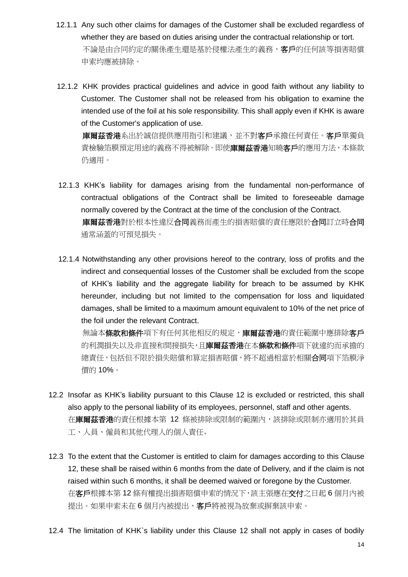- 12.1.1 Any such other claims for damages of the Customer shall be excluded regardless of whether they are based on duties arising under the contractual relationship or tort. 不論是由合同約定的關係產生還是基於侵權法產生的義務,客戶的任何該等損害賠償 申索均應被排除。
- 12.1.2 KHK provides practical guidelines and advice in good faith without any liability to Customer. The Customer shall not be released from his obligation to examine the intended use of the foil at his sole responsibility. This shall apply even if KHK is aware of the Customer's application of use.

車爾茲香港系出於誠信提供應用指引和建議,並不對客戶承擔任何責任。客戶單獨負 責檢驗箔膜預定用途的義務不得被解除。即使**庫爾茲香港**知曉**客戶**的應用方法,本條款 仍適用。

- 12.1.3 KHK's liability for damages arising from the fundamental non-performance of contractual obligations of the Contract shall be limited to foreseeable damage normally covered by the Contract at the time of the conclusion of the Contract. 庫爾茲香港對於根本性違反合同義務而產生的損害賠償的責任應限於合同訂立時合同 通常涵蓋的可預見損失。
- 12.1.4 Notwithstanding any other provisions hereof to the contrary, loss of profits and the indirect and consequential losses of the Customer shall be excluded from the scope of KHK's liability and the aggregate liability for breach to be assumed by KHK hereunder, including but not limited to the compensation for loss and liquidated damages, shall be limited to a maximum amount equivalent to 10% of the net price of the foil under the relevant Contract.

無論本條款和條件項下有任何其他相反的規定,庫爾茲香港的責任範圍中應排除客戶 的利潤損失以及非直接和間接損失,且**庫爾茲香港**在本條款和條件項下就違約而承擔的 總責任,包括但不限於損失賠償和算定損害賠償,將不超過相當於相關**合同**項下箔膜淨 價的 10%。

- 12.2 Insofar as KHK's liability pursuant to this Clause 12 is excluded or restricted, this shall also apply to the personal liability of its employees, personnel, staff and other agents. 在庫爾茲香港的責任根據本第 12 條被排除或限制的範圍內,該排除或限制亦適用於其員 工、人員、僱員和其他代理人的個人責任。
- 12.3 To the extent that the Customer is entitled to claim for damages according to this Clause 12, these shall be raised within 6 months from the date of Delivery, and if the claim is not raised within such 6 months, it shall be deemed waived or foregone by the Customer. 在客戶根據本第 12 條有權提出損害賠償申索的情況下,該主張應在交付之日起 6 個月內被 提出。如果申索未在6個月內被提出,客戶將被視為放棄或摒棄該申索。
- 12.4 The limitation of KHK`s liability under this Clause 12 shall not apply in cases of bodily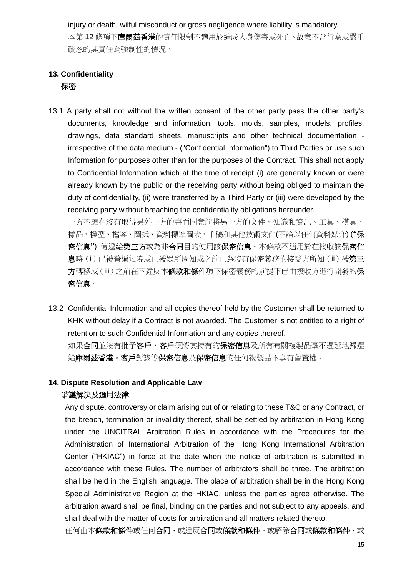injury or death, wilful misconduct or gross negligence where liability is mandatory. 本第 12 條項下庫爾茲香港的責任限制不適用於造成人身傷害或死亡、故意不當行為或嚴重 疏忽的其責任為強制性的情況。

### **13. Confidentiality** 保密

13.1 A party shall not without the written consent of the other party pass the other party's documents, knowledge and information, tools, molds, samples, models, profiles, drawings, data standard sheets, manuscripts and other technical documentation irrespective of the data medium - ("Confidential Information") to Third Parties or use such Information for purposes other than for the purposes of the Contract. This shall not apply to Confidential Information which at the time of receipt (i) are generally known or were already known by the public or the receiving party without being obliged to maintain the duty of confidentiality, (ii) were transferred by a Third Party or (iii) were developed by the receiving party without breaching the confidentiality obligations hereunder.

一方不應在沒有取得另外一方的書面同意前將另一方的文件、知識和資訊、工具、模具、 樣品、模型、檔案、圖紙、資料標準圖表、手稿和其他技術文件(不論以任何資料媒介) (**"**保 密信息**"**) 傳遞給第三方或為非合同目的使用該保密信息。本條款不適用於在接收該保密信 息時(i)已被普遍知曉或已被眾所周知或之前已為沒有保密義務的接受方所知(ii)被第三 方轉移或(iii)之前在不違反本條款和條件項下保密義務的前提下已由接收方進行開發的保 密信息。

13.2 Confidential Information and all copies thereof held by the Customer shall be returned to KHK without delay if a Contract is not awarded. The Customer is not entitled to a right of retention to such Confidential Information and any copies thereof. 如果合同並沒有批予客戶,客戶須將其持有的保密信息及所有有關複製品毫不遲延地歸還

给庫爾茲香港。客戶對該等保密信息及保密信息的任何複製品不享有留置權。

### **14. Dispute Resolution and Applicable Law**

#### 爭議解決及適用法律

Any dispute, controversy or claim arising out of or relating to these T&C or any Contract, or the breach, termination or invalidity thereof, shall be settled by arbitration in Hong Kong under the UNCITRAL Arbitration Rules in accordance with the Procedures for the Administration of International Arbitration of the Hong Kong International Arbitration Center ("HKIAC") in force at the date when the notice of arbitration is submitted in accordance with these Rules. The number of arbitrators shall be three. The arbitration shall be held in the English language. The place of arbitration shall be in the Hong Kong Special Administrative Region at the HKIAC, unless the parties agree otherwise. The arbitration award shall be final, binding on the parties and not subject to any appeals, and shall deal with the matter of costs for arbitration and all matters related thereto.

任何由本條款和條件或任何合同、或違反合同或條款和條件、或解除合同或條款和條件、或